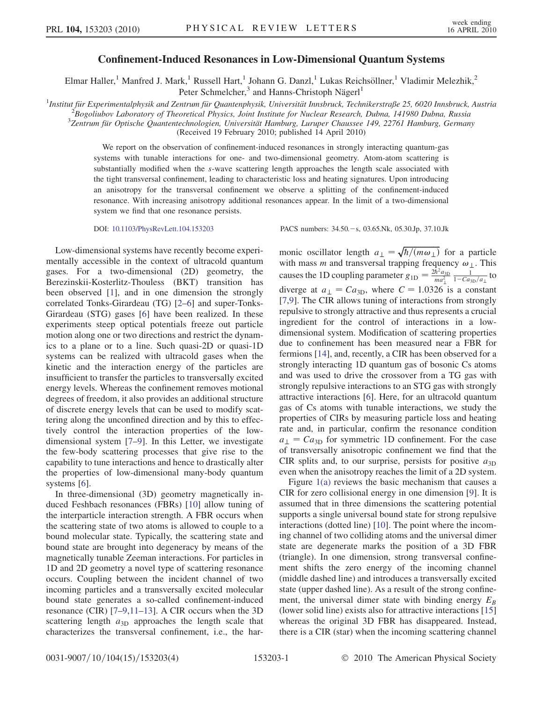## Confinement-Induced Resonances in Low-Dimensional Quantum Systems

Elmar Haller,<sup>1</sup> Manfred J. Mark,<sup>1</sup> Russell Hart,<sup>1</sup> Johann G. Danzl,<sup>1</sup> Lukas Reichsöllner,<sup>1</sup> Vladimir Melezhik,<sup>2</sup> Peter Schmelcher,<sup>3</sup> and Hanns-Christoph Nägerl<sup>1</sup>

<sup>1</sup>Institut für Experimentalphysik and Zentrum für Quantenphysik, Universität Innsbruck, Technikerstraße 25, 6020 Innsbruck, Austria  $\frac{2p}{\text{pocoli} \text{th}}$ 

 $B$ Bogoliubov Laboratory of Theoretical Physics, Joint Institute for Nuclear Research, Dubna, 141980 Dubna, Russia

 $3$ Zentrum für Optische Quantentechnologien, Universität Hamburg, Luruper Chaussee 149, 22761 Hamburg, Germany

(Received 19 February 2010; published 14 April 2010)

We report on the observation of confinement-induced resonances in strongly interacting quantum-gas systems with tunable interactions for one- and two-dimensional geometry. Atom-atom scattering is substantially modified when the s-wave scattering length approaches the length scale associated with the tight transversal confinement, leading to characteristic loss and heating signatures. Upon introducing an anisotropy for the transversal confinement we observe a splitting of the confinement-induced resonance. With increasing anisotropy additional resonances appear. In the limit of a two-dimensional system we find that one resonance persists.

DOI: [10.1103/PhysRevLett.104.153203](http://dx.doi.org/10.1103/PhysRevLett.104.153203) PACS numbers: 34.50. - s, 03.65.Nk, 05.30.Jp, 37.10.Jk

Low-dimensional systems have recently become experimentally accessible in the context of ultracold quantum gases. For a two-dimensional (2D) geometry, the Berezinskii-Kosterlitz-Thouless (BKT) transition has been observed [[1](#page-3-0)], and in one dimension the strongly correlated Tonks-Girardeau (TG) [\[2–](#page-3-1)[6](#page-3-2)] and super-Tonks-Girardeau (STG) gases [\[6](#page-3-2)] have been realized. In these experiments steep optical potentials freeze out particle motion along one or two directions and restrict the dynamics to a plane or to a line. Such quasi-2D or quasi-1D systems can be realized with ultracold gases when the kinetic and the interaction energy of the particles are insufficient to transfer the particles to transversally excited energy levels. Whereas the confinement removes motional degrees of freedom, it also provides an additional structure of discrete energy levels that can be used to modify scattering along the unconfined direction and by this to effectively control the interaction properties of the lowdimensional system [[7–](#page-3-3)[9](#page-3-4)]. In this Letter, we investigate the few-body scattering processes that give rise to the capability to tune interactions and hence to drastically alter the properties of low-dimensional many-body quantum systems [[6\]](#page-3-2).

In three-dimensional (3D) geometry magnetically induced Feshbach resonances (FBRs) [[10](#page-3-5)] allow tuning of the interparticle interaction strength. A FBR occurs when the scattering state of two atoms is allowed to couple to a bound molecular state. Typically, the scattering state and bound state are brought into degeneracy by means of the magnetically tunable Zeeman interactions. For particles in 1D and 2D geometry a novel type of scattering resonance occurs. Coupling between the incident channel of two incoming particles and a transversally excited molecular bound state generates a so-called confinement-induced resonance (CIR) [[7](#page-3-3)[–9,](#page-3-4)[11–](#page-3-6)[13](#page-3-7)]. A CIR occurs when the 3D scattering length  $a_{3D}$  approaches the length scale that characterizes the transversal confinement, i.e., the har-

monic oscillator length  $a_{\perp} = \sqrt{\hbar/(m\omega_{\perp})}$  for a particle with mass *m* and transversal transition frequency  $\omega_{\perp}$ . This with mass *m* and transversal trapping frequency  $\omega_{\perp}$ . This causes the 1D coupling parameter  $g_{1D} = \frac{2\hbar^2 a_{3D}}{ma_\perp^2} \frac{1}{1 - Ca_{3D}/a_\perp}$  to diverge at  $a_{\perp} = Ca_{3D}$ , where  $C = 1.0326$  is a constant [7.9]. The CIR allows tuning of interactions from strongly [\[7,](#page-3-3)[9](#page-3-4)]. The CIR allows tuning of interactions from strongly repulsive to strongly attractive and thus represents a crucial ingredient for the control of interactions in a lowdimensional system. Modification of scattering properties due to confinement has been measured near a FBR for fermions [\[14\]](#page-3-8), and, recently, a CIR has been observed for a strongly interacting 1D quantum gas of bosonic Cs atoms and was used to drive the crossover from a TG gas with strongly repulsive interactions to an STG gas with strongly attractive interactions [[6](#page-3-2)]. Here, for an ultracold quantum gas of Cs atoms with tunable interactions, we study the properties of CIRs by measuring particle loss and heating rate and, in particular, confirm the resonance condition  $a_{\perp} = Ca_{3D}$  for symmetric 1D confinement. For the case of transversally anisotropic confinement we find that the CIR splits and, to our surprise, persists for positive  $a_{3D}$ even when the anisotropy reaches the limit of a 2D system.

Figure [1\(a\)](#page-1-0) reviews the basic mechanism that causes a CIR for zero collisional energy in one dimension [\[9\]](#page-3-4). It is assumed that in three dimensions the scattering potential supports a single universal bound state for strong repulsive interactions (dotted line) [\[10\]](#page-3-5). The point where the incoming channel of two colliding atoms and the universal dimer state are degenerate marks the position of a 3D FBR (triangle). In one dimension, strong transversal confinement shifts the zero energy of the incoming channel (middle dashed line) and introduces a transversally excited state (upper dashed line). As a result of the strong confinement, the universal dimer state with binding energy  $E_B$ (lower solid line) exists also for attractive interactions [\[15\]](#page-3-9) whereas the original 3D FBR has disappeared. Instead, there is a CIR (star) when the incoming scattering channel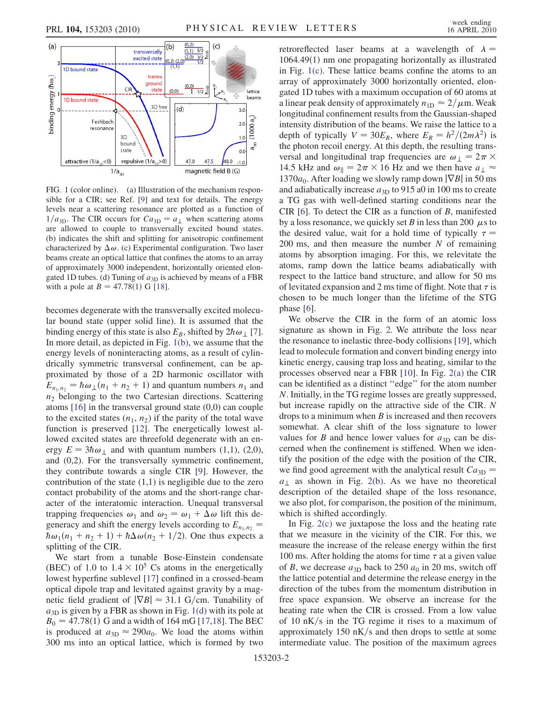

<span id="page-1-0"></span>FIG. 1 (color online). (a) Illustration of the mechanism responsible for a CIR; see Ref. [[9](#page-3-4)] and text for details. The energy levels near a scattering resonance are plotted as a function of  $1/a_{3D}$ . The CIR occurs for  $Ca_{3D} = a_{\perp}$  when scattering atoms are allowed to couple to transversally excited bound states. (b) indicates the shift and splitting for anisotropic confinement characterized by  $\Delta \omega$ . (c) Experimental configuration. Two laser beams create an optical lattice that confines the atoms to an array of approximately 3000 independent, horizontally oriented elongated 1D tubes. (d) Tuning of  $a_{3D}$  is achieved by means of a FBR with a pole at  $B = 47.78(1)$  G [\[18\]](#page-3-13).

becomes degenerate with the transversally excited molecular bound state (upper solid line). It is assumed that the binding energy of this state is also  $E_B$ , shifted by  $2\hbar\omega_\perp$  [[7\]](#page-3-3). In more detail, as depicted in Fig. [1\(b\),](#page-1-0) we assume that the energy levels of noninteracting atoms, as a result of cylindrically symmetric transversal confinement, can be approximated by those of a 2D harmonic oscillator with  $E_{n_1,n_2} = \hbar \omega_\perp (n_1 + n_2 + 1)$  and quantum numbers  $n_1$  and  $n_2$  belonging to the two Cartesian directions. Scattering atoms [\[16\]](#page-3-10) in the transversal ground state (0,0) can couple to the excited states  $(n_1, n_2)$  if the parity of the total wave function is preserved [\[12\]](#page-3-11). The energetically lowest allowed excited states are threefold degenerate with an energy  $E = 3\hbar\omega_1$  and with quantum numbers (1,1), (2,0), and (0,2). For the transversally symmetric confinement, they contribute towards a single CIR [[9\]](#page-3-4). However, the contribution of the state  $(1,1)$  is negligible due to the zero contact probability of the atoms and the short-range character of the interatomic interaction. Unequal transversal trapping frequencies  $\omega_1$  and  $\omega_2 = \omega_1 + \Delta \omega$  lift this degeneracy and shift the energy levels according to  $E_{n_1,n_2}$  =  $\hbar\omega_1(n_1 + n_2 + 1) + \hbar\Delta\omega(n_2 + 1/2)$ . One thus expects a splitting of the CIR.

We start from a tunable Bose-Einstein condensate (BEC) of 1.0 to  $1.4 \times 10^5$  Cs atoms in the energetically lowest by perfine sublevel [17] confined in a crossed-beam lowest hyperfine sublevel [\[17\]](#page-3-12) confined in a crossed-beam optical dipole trap and levitated against gravity by a magnetic field gradient of  $|\nabla B| \approx 31.1$  G/cm. Tunability of  $a_{3D}$  is given by a FBR as shown in Fig. [1\(d\)](#page-1-0) with its pole at  $B_0 = 47.78(1)$  G and a width of 164 mG [\[17](#page-3-12)[,18\]](#page-3-13). The BEC is produced at  $a_{3D} \approx 290a_0$ . We load the atoms within 300 ms into an optical lattice, which is formed by two retroreflected laser beams at a wavelength of  $\lambda =$  $1064.49(1)$  nm one propagating horizontally as illustrated in Fig. [1\(c\).](#page-1-0) These lattice beams confine the atoms to an array of approximately 3000 horizontally oriented, elongated 1D tubes with a maximum occupation of 60 atoms at a linear peak density of approximately  $n_{\text{1D}} \approx 2/\mu$ m. Weak<br>longitudinal confinement results from the Gaussian-shaped longitudinal confinement results from the Gaussian-shaped intensity distribution of the beams. We raise the lattice to a depth of typically  $V = 30E_R$ , where  $E_R = h^2/(2m\lambda^2)$  is the photon recoil energy. At this depth, the resulting transversal and longitudinal trap frequencies are  $\omega_{\perp} = 2\pi \times 14.5$  kHz and  $\omega_{\parallel} = 2\pi \times 16$  Hz and we then have  $a_{\perp} \approx$ 14.5 kHz and  $\omega_{\parallel} = 2\pi \times 16$  Hz and we then have  $a_{\perp} \approx 1370a_{\perp}$ . After loading we slowly rann down  $|\nabla R|$  in 50 ms 1370 $a_0$ . After loading we slowly ramp down  $|\nabla B|$  in 50 ms and adiabatically increase  $a_{3D}$  to 915 a0 in 100 ms to create a TG gas with well-defined starting conditions near the CIR [[6](#page-3-2)]. To detect the CIR as a function of B, manifested by a loss resonance, we quickly set B in less than 200  $\mu$ s to the desired value wait for a hold time of typically  $\tau =$ the desired value, wait for a hold time of typically  $\tau =$ 200 ms, and then measure the number  $N$  of remaining atoms by absorption imaging. For this, we relevitate the atoms, ramp down the lattice beams adiabatically with respect to the lattice band structure, and allow for 50 ms of levitated expansion and 2 ms time of flight. Note that  $\tau$  is chosen to be much longer than the lifetime of the STG phase [\[6\]](#page-3-2).

We observe the CIR in the form of an atomic loss signature as shown in Fig. [2.](#page-2-0) We attribute the loss near the resonance to inelastic three-body collisions [[19](#page-3-14)], which lead to molecule formation and convert binding energy into kinetic energy, causing trap loss and heating, similar to the processes observed near a FBR [[10](#page-3-5)]. In Fig. [2\(a\)](#page-2-1) the CIR can be identified as a distinct ''edge'' for the atom number N. Initially, in the TG regime losses are greatly suppressed, but increase rapidly on the attractive side of the CIR. N drops to a minimum when  $B$  is increased and then recovers somewhat. A clear shift of the loss signature to lower values for B and hence lower values for  $a_{3D}$  can be discerned when the confinement is stiffened. When we identify the position of the edge with the position of the CIR, we find good agreement with the analytical result  $Ca<sub>3D</sub>$  =  $a_{\perp}$  as shown in Fig. [2\(b\)](#page-2-1). As we have no theoretical description of the detailed shape of the loss resonance, we also plot, for comparison, the position of the minimum, which is shifted accordingly.

In Fig. [2\(c\)](#page-2-1) we juxtapose the loss and the heating rate that we measure in the vicinity of the CIR. For this, we measure the increase of the release energy within the first 100 ms. After holding the atoms for time  $\tau$  at a given value of B, we decrease  $a_{3D}$  back to 250  $a_0$  in 20 ms, switch off the lattice potential and determine the release energy in the direction of the tubes from the momentum distribution in free space expansion. We observe an increase for the heating rate when the CIR is crossed. From a low value of 10  $nK/s$  in the TG regime it rises to a maximum of approximately 150  $nK/s$  and then drops to settle at some intermediate value. The position of the maximum agrees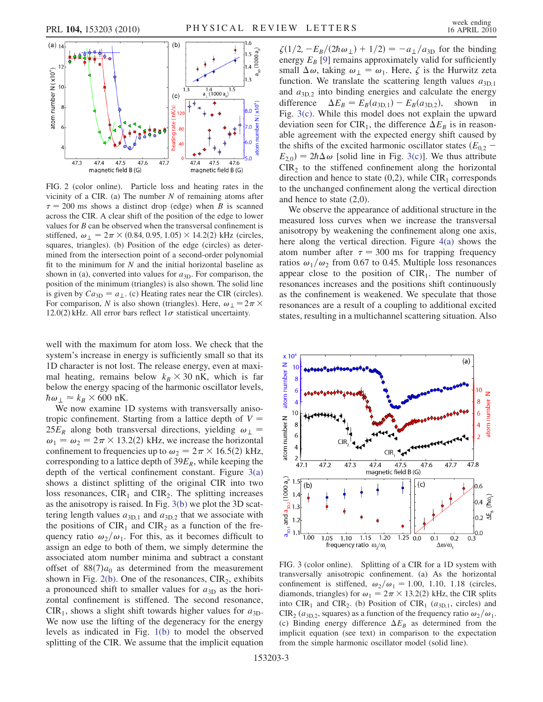<span id="page-2-0"></span>

<span id="page-2-1"></span>FIG. 2 (color online). Particle loss and heating rates in the vicinity of a CIR. (a) The number  $N$  of remaining atoms after  $\tau = 200$  ms shows a distinct drop (edge) when B is scanned across the CIR. A clear shift of the position of the edge to lower values for  $B$  can be observed when the transversal confinement is stiffened,  $\omega_{\perp} = 2\pi \times (0.84, 0.95, 1.05) \times 14.2(2)$  kHz (circles, squares, triangles) (b) Position of the edge (circles) as detersquares, triangles). (b) Position of the edge (circles) as determined from the intersection point of a second-order polynomial fit to the minimum for  $N$  and the initial horizontal baseline as shown in (a), converted into values for  $a_{3D}$ . For comparison, the position of the minimum (triangles) is also shown. The solid line is given by  $Ca_{3D} = a_{\perp}$ . (c) Heating rates near the CIR (circles). For comparison, N is also shown (triangles). Here,  $\omega_{\perp} = 2\pi \times$ <br>12.0(2) kHz. All error bars reflect L $\sigma$  statistical uncertainty 12.0(2) kHz. All error bars reflect  $1\sigma$  statistical uncertainty.

well with the maximum for atom loss. We check that the system's increase in energy is sufficiently small so that its 1D character is not lost. The release energy, even at maximal heating, remains below  $k_B \times 30$  nK, which is farmed below the energy spacing of the harmonic oscillator levels below the energy spacing of the harmonic oscillator levels,  $\hbar \omega_{\perp} \approx k_B \times 600 \text{ nK}.$ <br>We now examine 1

We now examine 1D systems with transversally anisotropic confinement. Starting from a lattice depth of  $V =$  $25E_R$  along both transversal directions, yielding  $\omega_{\perp}$  =  $\omega_1 = \omega_2 = 2\pi \times 13.2(2)$  kHz, we increase the horizontal<br>confinement to frequencies up to  $\omega_2 = 2\pi \times 16.5(2)$  kHz confinement to frequencies up to  $\omega_2 = 2\pi \times 16.5(2)$  kHz,<br>corresponding to a lattice depth of 39F<sub>p</sub> while keeping the corresponding to a lattice depth of  $39E_R$ , while keeping the depth of the vertical confinement constant. Figure [3\(a\)](#page-2-2) shows a distinct splitting of the original CIR into two loss resonances,  $CIR_1$  and  $CIR_2$ . The splitting increases as the anisotropy is raised. In Fig. [3\(b\)](#page-2-2) we plot the 3D scattering length values  $a_{3D,1}$  and  $a_{3D,2}$  that we associate with the positions of  $CIR<sub>1</sub>$  and  $CIR<sub>2</sub>$  as a function of the frequency ratio  $\omega_2/\omega_1$ . For this, as it becomes difficult to assign an edge to both of them, we simply determine the associated atom number minima and subtract a constant offset of  $88(7)a_0$  as determined from the measurement shown in Fig. [2\(b\).](#page-2-1) One of the resonances,  $CIR<sub>2</sub>$ , exhibits a pronounced shift to smaller values for  $a_{3D}$  as the horizontal confinement is stiffened. The second resonance,  $CIR<sub>1</sub>$ , shows a slight shift towards higher values for  $a_{3D}$ . We now use the lifting of the degeneracy for the energy levels as indicated in Fig. [1\(b\)](#page-1-0) to model the observed splitting of the CIR. We assume that the implicit equation  $\zeta(1/2, -E_B/(2\hbar\omega_+) + 1/2) = -a_{\perp}/a_{3D}$  for the binding energy  $E_B$  [\[9](#page-3-4)] remains approximately valid for sufficiently small  $\Delta \omega$ , taking  $\omega_{\perp} = \omega_1$ . Here,  $\zeta$  is the Hurwitz zeta function. We translate the scattering length values  $a_{3D,1}$ and  $a_{3D,2}$  into binding energies and calculate the energy difference  $\Delta E_B = E_B(a_{3D,1}) - E_B(a_{3D,2})$ , shown in Fig. [3\(c\)](#page-2-2). While this model does not explain the upward deviation seen for CIR<sub>1</sub>, the difference  $\Delta E_B$  is in reasonable agreement with the expected energy shift caused by the shifts of the excited harmonic oscillator states  $(E_{0,2}$  –  $E_{2,0}$  =  $2\hbar\Delta\omega$  [solid line in Fig. [3\(c\)](#page-2-2)]. We thus attribute  $CIR<sub>2</sub>$  to the stiffened confinement along the horizontal direction and hence to state  $(0,2)$ , while CIR<sub>1</sub> corresponds to the unchanged confinement along the vertical direction and hence to state (2,0).

We observe the appearance of additional structure in the measured loss curves when we increase the transversal anisotropy by weakening the confinement along one axis, here along the vertical direction. Figure [4\(a\)](#page-3-15) shows the atom number after  $\tau = 300$  ms for trapping frequency ratios  $\omega_1/\omega_2$  from 0.67 to 0.45. Multiple loss resonances appear close to the position of  $CIR<sub>1</sub>$ . The number of resonances increases and the positions shift continuously as the confinement is weakened. We speculate that those resonances are a result of a coupling to additional excited states, resulting in a multichannel scattering situation. Also



<span id="page-2-2"></span>FIG. 3 (color online). Splitting of a CIR for a 1D system with transversally anisotropic confinement. (a) As the horizontal confinement is stiffened,  $\omega_2/\omega_1 = 1.00, 1.10, 1.18$  (circles, diamonds, triangles) for  $\omega_1 = 2\pi \times 13.2(2)$  kHz, the CIR splits<br>into CIR, and CIR, (b) Position of CIR, (and circles) and into  $CIR_1$  and  $CIR_2$ . (b) Position of  $CIR_1$  ( $a_{3D,1}$ , circles) and CIR<sub>2</sub> ( $a_{3D,2}$ , squares) as a function of the frequency ratio  $\omega_2/\omega_1$ . (c) Binding energy difference  $\Delta E_B$  as determined from the implicit equation (see text) in comparison to the expectation from the simple harmonic oscillator model (solid line).